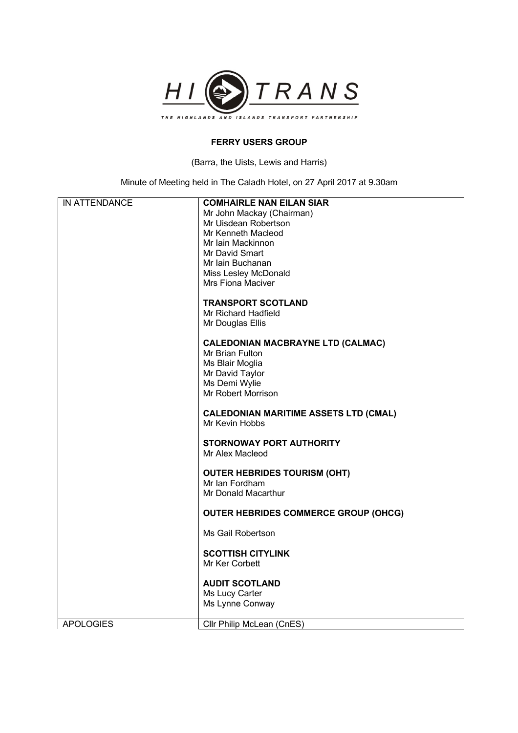

## **FERRY USERS GROUP**

(Barra, the Uists, Lewis and Harris)

Minute of Meeting held in The Caladh Hotel, on 27 April 2017 at 9.30am

| IN ATTENDANCE    | <b>COMHAIRLE NAN EILAN SIAR</b>              |
|------------------|----------------------------------------------|
|                  | Mr John Mackay (Chairman)                    |
|                  | Mr Uisdean Robertson                         |
|                  | Mr Kenneth Macleod                           |
|                  | Mr Iain Mackinnon                            |
|                  | Mr David Smart                               |
|                  | Mr Iain Buchanan                             |
|                  | Miss Lesley McDonald                         |
|                  | <b>Mrs Fiona Maciver</b>                     |
|                  |                                              |
|                  | <b>TRANSPORT SCOTLAND</b>                    |
|                  | Mr Richard Hadfield                          |
|                  |                                              |
|                  | Mr Douglas Ellis                             |
|                  | <b>CALEDONIAN MACBRAYNE LTD (CALMAC)</b>     |
|                  | Mr Brian Fulton                              |
|                  |                                              |
|                  | Ms Blair Moglia                              |
|                  | Mr David Taylor                              |
|                  | Ms Demi Wylie                                |
|                  | Mr Robert Morrison                           |
|                  |                                              |
|                  | <b>CALEDONIAN MARITIME ASSETS LTD (CMAL)</b> |
|                  | Mr Kevin Hobbs                               |
|                  | <b>STORNOWAY PORT AUTHORITY</b>              |
|                  |                                              |
|                  | Mr Alex Macleod                              |
|                  |                                              |
|                  | <b>OUTER HEBRIDES TOURISM (OHT)</b>          |
|                  | Mr Ian Fordham                               |
|                  | Mr Donald Macarthur                          |
|                  | <b>OUTER HEBRIDES COMMERCE GROUP (OHCG)</b>  |
|                  |                                              |
|                  | Ms Gail Robertson                            |
|                  |                                              |
|                  | <b>SCOTTISH CITYLINK</b>                     |
|                  | Mr Ker Corbett                               |
|                  |                                              |
|                  | <b>AUDIT SCOTLAND</b>                        |
|                  | Ms Lucy Carter                               |
|                  | Ms Lynne Conway                              |
|                  |                                              |
| <b>APOLOGIES</b> | Cllr Philip McLean (CnES)                    |
|                  |                                              |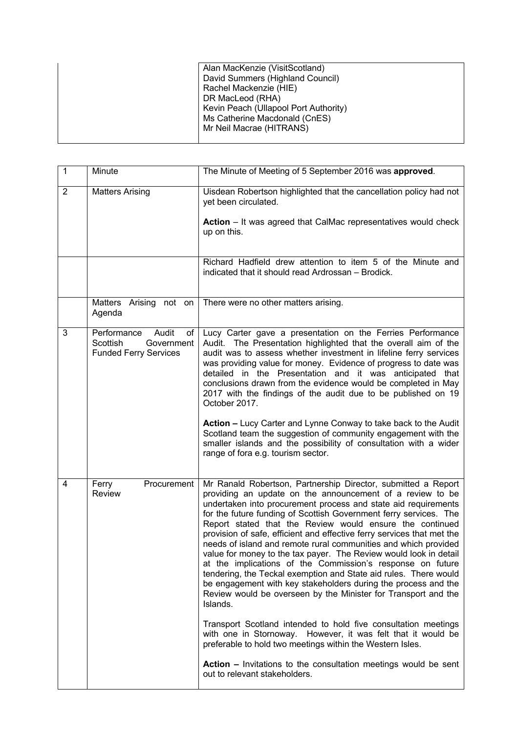|  | Alan MacKenzie (VisitScotland)        |
|--|---------------------------------------|
|  | David Summers (Highland Council)      |
|  | Rachel Mackenzie (HIE)                |
|  | DR MacLeod (RHA)                      |
|  | Kevin Peach (Ullapool Port Authority) |
|  | Ms Catherine Macdonald (CnES)         |
|  | Mr Neil Macrae (HITRANS)              |
|  |                                       |
|  |                                       |

| $\mathbf{1}$   | Minute                                                                               | The Minute of Meeting of 5 September 2016 was approved.                                                                                                                                                                                                                                                                                                                                                                                                                                                                                                                                                                                                                                                                                                                                                                                                                                             |
|----------------|--------------------------------------------------------------------------------------|-----------------------------------------------------------------------------------------------------------------------------------------------------------------------------------------------------------------------------------------------------------------------------------------------------------------------------------------------------------------------------------------------------------------------------------------------------------------------------------------------------------------------------------------------------------------------------------------------------------------------------------------------------------------------------------------------------------------------------------------------------------------------------------------------------------------------------------------------------------------------------------------------------|
| $\overline{2}$ | <b>Matters Arising</b>                                                               | Uisdean Robertson highlighted that the cancellation policy had not<br>yet been circulated.                                                                                                                                                                                                                                                                                                                                                                                                                                                                                                                                                                                                                                                                                                                                                                                                          |
|                |                                                                                      | <b>Action</b> – It was agreed that CalMac representatives would check<br>up on this.                                                                                                                                                                                                                                                                                                                                                                                                                                                                                                                                                                                                                                                                                                                                                                                                                |
|                |                                                                                      | Richard Hadfield drew attention to item 5 of the Minute and<br>indicated that it should read Ardrossan - Brodick.                                                                                                                                                                                                                                                                                                                                                                                                                                                                                                                                                                                                                                                                                                                                                                                   |
|                | Matters<br>Arising not on<br>Agenda                                                  | There were no other matters arising.                                                                                                                                                                                                                                                                                                                                                                                                                                                                                                                                                                                                                                                                                                                                                                                                                                                                |
| 3              | Performance<br>Audit<br>of<br>Scottish<br>Government<br><b>Funded Ferry Services</b> | Lucy Carter gave a presentation on the Ferries Performance<br>Audit. The Presentation highlighted that the overall aim of the<br>audit was to assess whether investment in lifeline ferry services<br>was providing value for money. Evidence of progress to date was<br>detailed in the Presentation and it was anticipated that<br>conclusions drawn from the evidence would be completed in May<br>2017 with the findings of the audit due to be published on 19<br>October 2017.                                                                                                                                                                                                                                                                                                                                                                                                                |
|                |                                                                                      | Action - Lucy Carter and Lynne Conway to take back to the Audit<br>Scotland team the suggestion of community engagement with the<br>smaller islands and the possibility of consultation with a wider<br>range of fora e.g. tourism sector.                                                                                                                                                                                                                                                                                                                                                                                                                                                                                                                                                                                                                                                          |
| 4              | Ferry<br>Procurement<br>Review                                                       | Mr Ranald Robertson, Partnership Director, submitted a Report<br>providing an update on the announcement of a review to be<br>undertaken into procurement process and state aid requirements<br>for the future funding of Scottish Government ferry services. The<br>Report stated that the Review would ensure the continued<br>provision of safe, efficient and effective ferry services that met the<br>needs of island and remote rural communities and which provided<br>value for money to the tax payer. The Review would look in detail<br>at the implications of the Commission's response on future<br>tendering, the Teckal exemption and State aid rules. There would<br>be engagement with key stakeholders during the process and the<br>Review would be overseen by the Minister for Transport and the<br>Islands.<br>Transport Scotland intended to hold five consultation meetings |
|                |                                                                                      | with one in Stornoway. However, it was felt that it would be<br>preferable to hold two meetings within the Western Isles.                                                                                                                                                                                                                                                                                                                                                                                                                                                                                                                                                                                                                                                                                                                                                                           |
|                |                                                                                      | Action - Invitations to the consultation meetings would be sent<br>out to relevant stakeholders.                                                                                                                                                                                                                                                                                                                                                                                                                                                                                                                                                                                                                                                                                                                                                                                                    |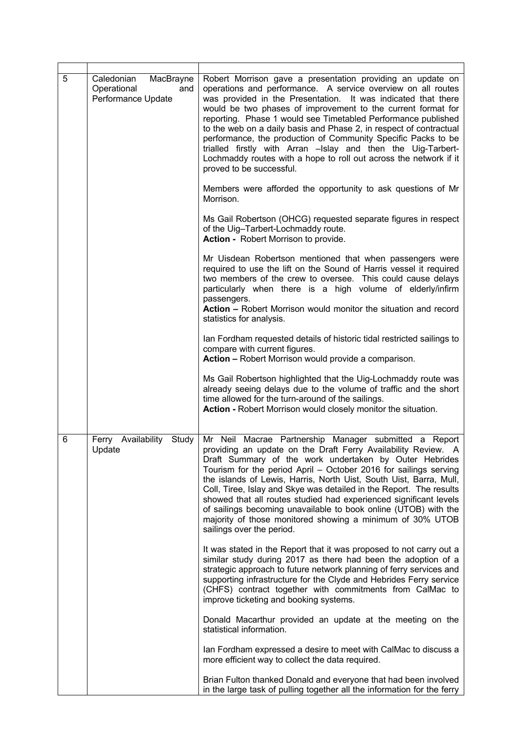| 5 | Caledonian<br>MacBrayne<br>Operational<br>and<br>Performance Update | Robert Morrison gave a presentation providing an update on<br>operations and performance. A service overview on all routes<br>was provided in the Presentation. It was indicated that there<br>would be two phases of improvement to the current format for<br>reporting. Phase 1 would see Timetabled Performance published<br>to the web on a daily basis and Phase 2, in respect of contractual<br>performance, the production of Community Specific Packs to be<br>trialled firstly with Arran -Islay and then the Uig-Tarbert-<br>Lochmaddy routes with a hope to roll out across the network if it<br>proved to be successful. |
|---|---------------------------------------------------------------------|--------------------------------------------------------------------------------------------------------------------------------------------------------------------------------------------------------------------------------------------------------------------------------------------------------------------------------------------------------------------------------------------------------------------------------------------------------------------------------------------------------------------------------------------------------------------------------------------------------------------------------------|
|   |                                                                     | Members were afforded the opportunity to ask questions of Mr<br>Morrison.                                                                                                                                                                                                                                                                                                                                                                                                                                                                                                                                                            |
|   |                                                                     | Ms Gail Robertson (OHCG) requested separate figures in respect<br>of the Uig-Tarbert-Lochmaddy route.<br>Action - Robert Morrison to provide.                                                                                                                                                                                                                                                                                                                                                                                                                                                                                        |
|   |                                                                     | Mr Uisdean Robertson mentioned that when passengers were<br>required to use the lift on the Sound of Harris vessel it required<br>two members of the crew to oversee. This could cause delays<br>particularly when there is a high volume of elderly/infirm<br>passengers.<br>Action - Robert Morrison would monitor the situation and record<br>statistics for analysis.                                                                                                                                                                                                                                                            |
|   |                                                                     | Ian Fordham requested details of historic tidal restricted sailings to<br>compare with current figures.<br>Action - Robert Morrison would provide a comparison.                                                                                                                                                                                                                                                                                                                                                                                                                                                                      |
|   |                                                                     | Ms Gail Robertson highlighted that the Uig-Lochmaddy route was<br>already seeing delays due to the volume of traffic and the short<br>time allowed for the turn-around of the sailings.<br>Action - Robert Morrison would closely monitor the situation.                                                                                                                                                                                                                                                                                                                                                                             |
| 6 | Ferry Availability<br>Study<br>Update                               | Mr Neil Macrae Partnership Manager submitted a Report<br>providing an update on the Draft Ferry Availability Review. A<br>Draft Summary of the work undertaken by Outer Hebrides<br>Tourism for the period April - October 2016 for sailings serving<br>the islands of Lewis, Harris, North Uist, South Uist, Barra, Mull,<br>Coll, Tiree, Islay and Skye was detailed in the Report. The results<br>showed that all routes studied had experienced significant levels<br>of sailings becoming unavailable to book online (UTOB) with the<br>majority of those monitored showing a minimum of 30% UTOB<br>sailings over the period.  |
|   |                                                                     | It was stated in the Report that it was proposed to not carry out a<br>similar study during 2017 as there had been the adoption of a<br>strategic approach to future network planning of ferry services and<br>supporting infrastructure for the Clyde and Hebrides Ferry service<br>(CHFS) contract together with commitments from CalMac to<br>improve ticketing and booking systems.                                                                                                                                                                                                                                              |
|   |                                                                     | Donald Macarthur provided an update at the meeting on the<br>statistical information.                                                                                                                                                                                                                                                                                                                                                                                                                                                                                                                                                |
|   |                                                                     | Ian Fordham expressed a desire to meet with CalMac to discuss a<br>more efficient way to collect the data required.                                                                                                                                                                                                                                                                                                                                                                                                                                                                                                                  |
|   |                                                                     | Brian Fulton thanked Donald and everyone that had been involved<br>in the large task of pulling together all the information for the ferry                                                                                                                                                                                                                                                                                                                                                                                                                                                                                           |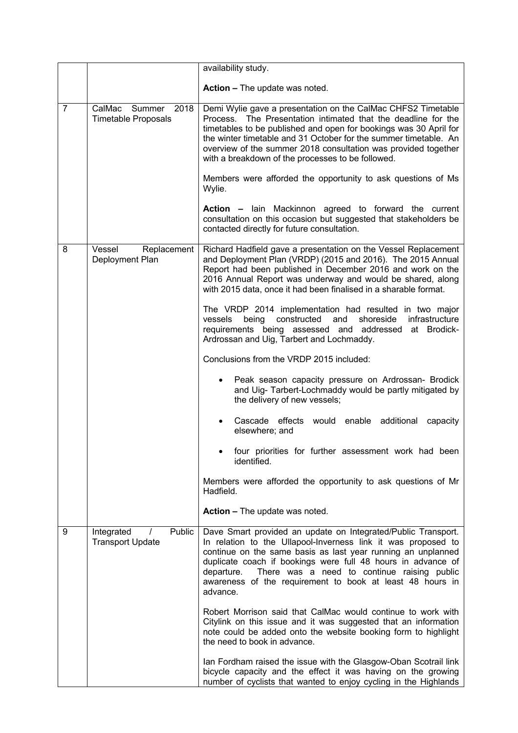|                |                                                        | availability study.                                                                                                                                                                                                                                                                                                                                                                                                                                                     |
|----------------|--------------------------------------------------------|-------------------------------------------------------------------------------------------------------------------------------------------------------------------------------------------------------------------------------------------------------------------------------------------------------------------------------------------------------------------------------------------------------------------------------------------------------------------------|
|                |                                                        | <b>Action - The update was noted.</b>                                                                                                                                                                                                                                                                                                                                                                                                                                   |
| $\overline{7}$ | 2018<br>CalMac<br>Summer<br><b>Timetable Proposals</b> | Demi Wylie gave a presentation on the CalMac CHFS2 Timetable<br>Process. The Presentation intimated that the deadline for the<br>timetables to be published and open for bookings was 30 April for<br>the winter timetable and 31 October for the summer timetable. An<br>overview of the summer 2018 consultation was provided together<br>with a breakdown of the processes to be followed.<br>Members were afforded the opportunity to ask questions of Ms<br>Wylie. |
|                |                                                        | Action - lain Mackinnon agreed to forward the current<br>consultation on this occasion but suggested that stakeholders be<br>contacted directly for future consultation.                                                                                                                                                                                                                                                                                                |
| 8              | Vessel<br>Replacement<br>Deployment Plan               | Richard Hadfield gave a presentation on the Vessel Replacement<br>and Deployment Plan (VRDP) (2015 and 2016). The 2015 Annual<br>Report had been published in December 2016 and work on the<br>2016 Annual Report was underway and would be shared, along<br>with 2015 data, once it had been finalised in a sharable format.                                                                                                                                           |
|                |                                                        | The VRDP 2014 implementation had resulted in two major<br>shoreside<br>constructed<br>and<br>infrastructure<br>vessels<br>being<br>requirements being assessed and addressed at Brodick-<br>Ardrossan and Uig, Tarbert and Lochmaddy.                                                                                                                                                                                                                                   |
|                |                                                        | Conclusions from the VRDP 2015 included:                                                                                                                                                                                                                                                                                                                                                                                                                                |
|                |                                                        | Peak season capacity pressure on Ardrossan- Brodick<br>and Uig- Tarbert-Lochmaddy would be partly mitigated by<br>the delivery of new vessels;                                                                                                                                                                                                                                                                                                                          |
|                |                                                        | Cascade effects would enable additional<br>capacity<br>elsewhere; and                                                                                                                                                                                                                                                                                                                                                                                                   |
|                |                                                        | four priorities for further assessment work had been<br>identified.                                                                                                                                                                                                                                                                                                                                                                                                     |
|                |                                                        | Members were afforded the opportunity to ask questions of Mr<br>Hadfield.                                                                                                                                                                                                                                                                                                                                                                                               |
|                |                                                        | <b>Action - The update was noted.</b>                                                                                                                                                                                                                                                                                                                                                                                                                                   |
| 9              | Public<br>Integrated<br><b>Transport Update</b>        | Dave Smart provided an update on Integrated/Public Transport.<br>In relation to the Ullapool-Inverness link it was proposed to<br>continue on the same basis as last year running an unplanned<br>duplicate coach if bookings were full 48 hours in advance of<br>There was a need to continue raising public<br>departure.<br>awareness of the requirement to book at least 48 hours in<br>advance.                                                                    |
|                |                                                        | Robert Morrison said that CalMac would continue to work with<br>Citylink on this issue and it was suggested that an information<br>note could be added onto the website booking form to highlight<br>the need to book in advance.                                                                                                                                                                                                                                       |
|                |                                                        | Ian Fordham raised the issue with the Glasgow-Oban Scotrail link<br>bicycle capacity and the effect it was having on the growing<br>number of cyclists that wanted to enjoy cycling in the Highlands                                                                                                                                                                                                                                                                    |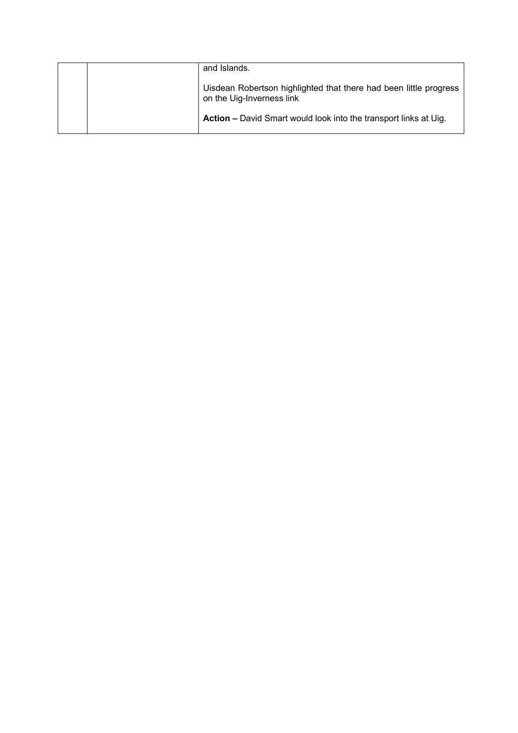| and Islands.                                                                                   |
|------------------------------------------------------------------------------------------------|
| Uisdean Robertson highlighted that there had been little progress<br>on the Uig-Inverness link |
| <b>Action –</b> David Smart would look into the transport links at Uig.                        |